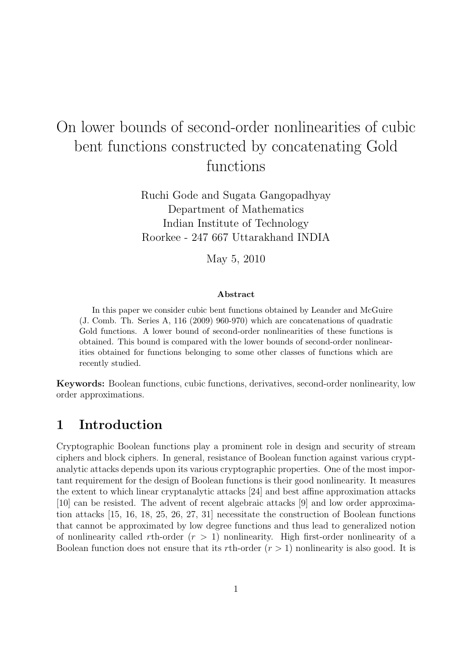# On lower bounds of second-order nonlinearities of cubic bent functions constructed by concatenating Gold functions

Ruchi Gode and Sugata Gangopadhyay Department of Mathematics Indian Institute of Technology Roorkee - 247 667 Uttarakhand INDIA

May 5, 2010

#### Abstract

In this paper we consider cubic bent functions obtained by Leander and McGuire (J. Comb. Th. Series A, 116 (2009) 960-970) which are concatenations of quadratic Gold functions. A lower bound of second-order nonlinearities of these functions is obtained. This bound is compared with the lower bounds of second-order nonlinearities obtained for functions belonging to some other classes of functions which are recently studied.

Keywords: Boolean functions, cubic functions, derivatives, second-order nonlinearity, low order approximations.

### 1 Introduction

Cryptographic Boolean functions play a prominent role in design and security of stream ciphers and block ciphers. In general, resistance of Boolean function against various cryptanalytic attacks depends upon its various cryptographic properties. One of the most important requirement for the design of Boolean functions is their good nonlinearity. It measures the extent to which linear cryptanalytic attacks [24] and best affine approximation attacks [10] can be resisted. The advent of recent algebraic attacks [9] and low order approximation attacks [15, 16, 18, 25, 26, 27, 31] necessitate the construction of Boolean functions that cannot be approximated by low degree functions and thus lead to generalized notion of nonlinearity called rth-order  $(r > 1)$  nonlinearity. High first-order nonlinearity of a Boolean function does not ensure that its rth-order  $(r > 1)$  nonlinearity is also good. It is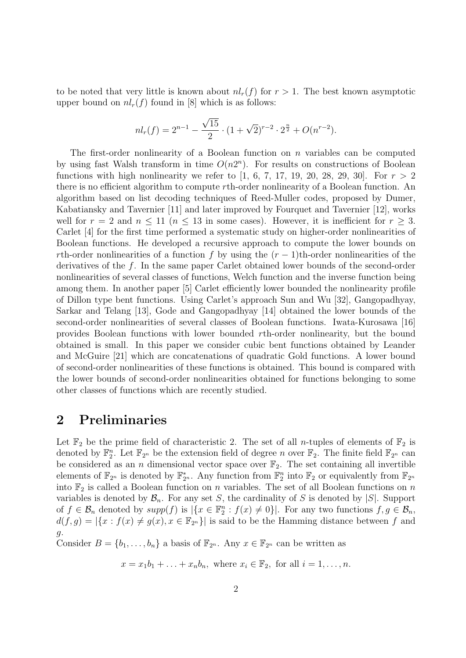to be noted that very little is known about  $nl_r(f)$  for  $r > 1$ . The best known asymptotic upper bound on  $nl_r(f)$  found in [8] which is as follows:

$$
nl_r(f) = 2^{n-1} - \frac{\sqrt{15}}{2} \cdot (1 + \sqrt{2})^{r-2} \cdot 2^{\frac{n}{2}} + O(n^{r-2}).
$$

The first-order nonlinearity of a Boolean function on  $n$  variables can be computed by using fast Walsh transform in time  $O(n2^n)$ . For results on constructions of Boolean functions with high nonlinearity we refer to  $[1, 6, 7, 17, 19, 20, 28, 29, 30]$ . For  $r > 2$ there is no efficient algorithm to compute rth-order nonlinearity of a Boolean function. An algorithm based on list decoding techniques of Reed-Muller codes, proposed by Dumer, Kabatiansky and Tavernier [11] and later improved by Fourquet and Tavernier [12], works well for  $r = 2$  and  $n \le 11$   $(n \le 13$  in some cases). However, it is inefficient for  $r > 3$ . Carlet [4] for the first time performed a systematic study on higher-order nonlinearities of Boolean functions. He developed a recursive approach to compute the lower bounds on rth-order nonlinearities of a function f by using the  $(r-1)$ th-order nonlinearities of the derivatives of the f. In the same paper Carlet obtained lower bounds of the second-order nonlinearities of several classes of functions, Welch function and the inverse function being among them. In another paper [5] Carlet efficiently lower bounded the nonlinearity profile of Dillon type bent functions. Using Carlet's approach Sun and Wu [32], Gangopadhyay, Sarkar and Telang [13], Gode and Gangopadhyay [14] obtained the lower bounds of the second-order nonlinearities of several classes of Boolean functions. Iwata-Kurosawa [16] provides Boolean functions with lower bounded rth-order nonlinearity, but the bound obtained is small. In this paper we consider cubic bent functions obtained by Leander and McGuire [21] which are concatenations of quadratic Gold functions. A lower bound of second-order nonlinearities of these functions is obtained. This bound is compared with the lower bounds of second-order nonlinearities obtained for functions belonging to some other classes of functions which are recently studied.

### 2 Preliminaries

Let  $\mathbb{F}_2$  be the prime field of characteristic 2. The set of all *n*-tuples of elements of  $\mathbb{F}_2$  is denoted by  $\mathbb{F}_2^n$ . Let  $\mathbb{F}_{2^n}$  be the extension field of degree n over  $\mathbb{F}_2$ . The finite field  $\mathbb{F}_{2^n}$  can be considered as an n dimensional vector space over  $\mathbb{F}_2$ . The set containing all invertible elements of  $\mathbb{F}_{2^n}$  is denoted by  $\mathbb{F}_{2^n}^*$ . Any function from  $\mathbb{F}_2^n$  into  $\mathbb{F}_2$  or equivalently from  $\mathbb{F}_{2^n}$ into  $\mathbb{F}_2$  is called a Boolean function on n variables. The set of all Boolean functions on n variables is denoted by  $\mathcal{B}_n$ . For any set S, the cardinality of S is denoted by  $|S|$ . Support of  $f \in \mathcal{B}_n$  denoted by  $supp(f)$  is  $|\{x \in \mathbb{F}_2^n : f(x) \neq 0\}|$ . For any two functions  $f, g \in \mathcal{B}_n$ ,  $d(f,g) = |\{x : f(x) \neq g(x), x \in \mathbb{F}_{2^n}\}|$  is said to be the Hamming distance between f and g.

Consider  $B = \{b_1, \ldots, b_n\}$  a basis of  $\mathbb{F}_{2^n}$ . Any  $x \in \mathbb{F}_{2^n}$  can be written as

 $x = x_1b_1 + \ldots + x_nb_n$ , where  $x_i \in \mathbb{F}_2$ , for all  $i = 1, \ldots, n$ .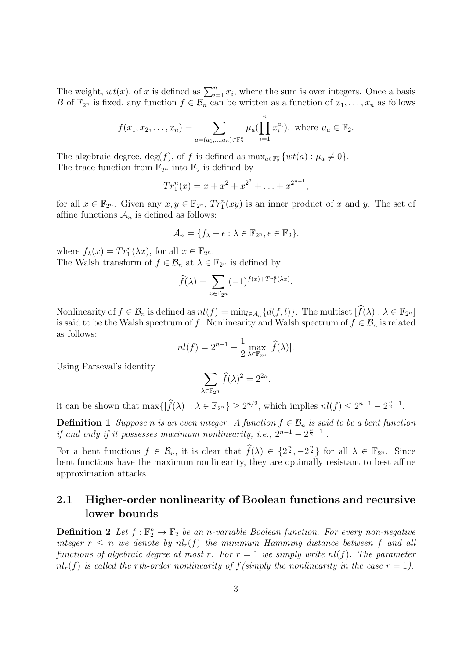The weight,  $wt(x)$ , of x is defined as  $\sum_{i=1}^{n} x_i$ , where the sum is over integers. Once a basis B of  $\mathbb{F}_{2^n}$  is fixed, any function  $f \in \mathcal{B}_n$  can be written as a function of  $x_1, \ldots, x_n$  as follows

$$
f(x_1, x_2,..., x_n) = \sum_{a=(a_1,...,a_n)\in \mathbb{F}_2^n} \mu_a(\prod_{i=1}^n x_i^{a_i}),
$$
 where  $\mu_a \in \mathbb{F}_2$ .

The algebraic degree,  $deg(f)$ , of f is defined as  $max_{a \in \mathbb{F}_2^n} \{wt(a) : \mu_a \neq 0\}.$ The trace function from  $\mathbb{F}_{2^n}$  into  $\mathbb{F}_2$  is defined by

$$
Tr_1^n(x) = x + x^2 + x^{2^2} + \ldots + x^{2^{n-1}},
$$

for all  $x \in \mathbb{F}_{2^n}$ . Given any  $x, y \in \mathbb{F}_{2^n}$ ,  $Tr_1^n(xy)$  is an inner product of x and y. The set of affine functions  $\mathcal{A}_n$  is defined as follows:

$$
\mathcal{A}_n = \{f_\lambda + \epsilon : \lambda \in \mathbb{F}_{2^n}, \epsilon \in \mathbb{F}_2\}.
$$

where  $f_{\lambda}(x) = Tr_1^n(\lambda x)$ , for all  $x \in \mathbb{F}_{2^n}$ . The Walsh transform of  $f \in \mathcal{B}_n$  at  $\lambda \in \mathbb{F}_{2^n}$  is defined by

$$
\widehat{f}(\lambda) = \sum_{x \in \mathbb{F}_{2^n}} (-1)^{f(x) + Tr_1^n(\lambda x)}.
$$

Nonlinearity of  $f \in \mathcal{B}_n$  is defined as  $nl(f) = \min_{l \in \mathcal{A}_n} \{d(f, l)\}\.$  The multiset  $[\widehat{f}(\lambda) : \lambda \in \mathbb{F}_{2^n}]$ is said to be the Walsh spectrum of f. Nonlinearity and Walsh spectrum of  $f \in \mathcal{B}_n$  is related as follows:

$$
nl(f) = 2^{n-1} - \frac{1}{2} \max_{\lambda \in \mathbb{F}_{2^n}} |\widehat{f}(\lambda)|.
$$

Using Parseval's identity

$$
\sum_{\lambda \in \mathbb{F}_{2^n}} \widehat{f}(\lambda)^2 = 2^{2n},
$$

it can be shown that  $\max\{|\widehat{f}(\lambda)| : \lambda \in \mathbb{F}_{2^n}\}\geq 2^{n/2}$ , which implies  $nl(f) \leq 2^{n-1}-2^{\frac{n}{2}-1}$ .

**Definition 1** Suppose n is an even integer. A function  $f \in \mathcal{B}_n$  is said to be a bent function if and only if it possesses maximum nonlinearity, i.e.,  $2^{n-1} - 2^{\frac{n}{2}-1}$ .

For a bent functions  $f \in \mathcal{B}_n$ , it is clear that  $\widehat{f}(\lambda) \in \{2^{\frac{n}{2}}, -2^{\frac{n}{2}}\}$  for all  $\lambda \in \mathbb{F}_{2^n}$ . Since bent functions have the maximum nonlinearity, they are optimally resistant to best affine approximation attacks.

### 2.1 Higher-order nonlinearity of Boolean functions and recursive lower bounds

**Definition 2** Let  $f : \mathbb{F}_2^n \to \mathbb{F}_2$  be an n-variable Boolean function. For every non-negative integer  $r \leq n$  we denote by  $nl_r(f)$  the minimum Hamming distance between f and all functions of algebraic degree at most r. For  $r = 1$  we simply write nl(f). The parameter  $nl_r(f)$  is called the rth-order nonlinearity of  $f(simplify the nonlinearity in the case r = 1)$ .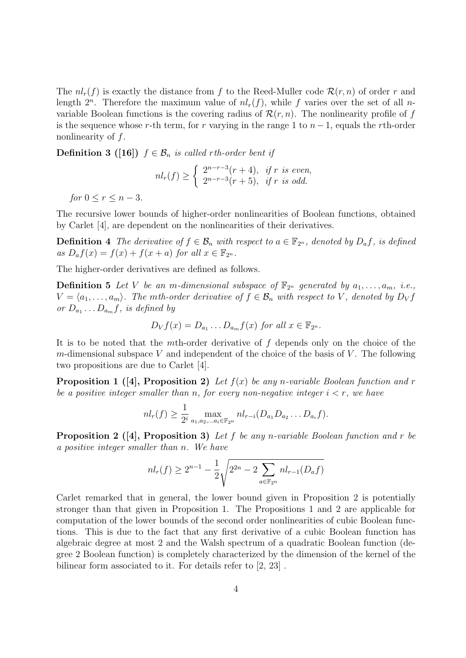The  $nl_r(f)$  is exactly the distance from f to the Reed-Muller code  $\mathcal{R}(r, n)$  of order r and length  $2^n$ . Therefore the maximum value of  $nl_r(f)$ , while f varies over the set of all nvariable Boolean functions is the covering radius of  $\mathcal{R}(r,n)$ . The nonlinearity profile of f is the sequence whose r-th term, for r varying in the range 1 to  $n-1$ , equals the rth-order nonlinearity of f.

**Definition 3** ([16])  $f \in \mathcal{B}_n$  is called rth-order bent if

$$
nl_r(f) \ge \begin{cases} 2^{n-r-3}(r+4), & \text{if } r \text{ is even,} \\ 2^{n-r-3}(r+5), & \text{if } r \text{ is odd.} \end{cases}
$$

for  $0 \le r \le n-3$ .

The recursive lower bounds of higher-order nonlinearities of Boolean functions, obtained by Carlet [4], are dependent on the nonlinearities of their derivatives.

**Definition 4** The derivative of  $f \in \mathcal{B}_n$  with respect to  $a \in \mathbb{F}_{2^n}$ , denoted by  $D_a f$ , is defined as  $D_{a}f(x) = f(x) + f(x+a)$  for all  $x \in \mathbb{F}_{2^{n}}$ .

The higher-order derivatives are defined as follows.

**Definition 5** Let V be an m-dimensional subspace of  $\mathbb{F}_{2^n}$  generated by  $a_1, \ldots, a_m$ , i.e.,  $V = \langle a_1, \ldots, a_m \rangle$ . The mth-order derivative of  $f \in \mathcal{B}_n$  with respect to V, denoted by  $D_V f$ or  $D_{a_1} \ldots D_{a_m} f$ , is defined by

$$
D_V f(x) = D_{a_1} \dots D_{a_m} f(x) \text{ for all } x \in \mathbb{F}_{2^n}.
$$

It is to be noted that the mth-order derivative of f depends only on the choice of the m-dimensional subspace V and independent of the choice of the basis of V. The following two propositions are due to Carlet [4].

**Proposition 1** ([4], Proposition 2) Let  $f(x)$  be any n-variable Boolean function and r be a positive integer smaller than n, for every non-negative integer  $i < r$ , we have

$$
nl_r(f) \geq \frac{1}{2^i} \max_{a_1, a_2, \dots, a_i \in \mathbb{F}_{2^n}} nl_{r-i}(D_{a_1}D_{a_2} \dots D_{a_i}f).
$$

**Proposition 2** ([4], Proposition 3) Let f be any n-variable Boolean function and r be a positive integer smaller than n. We have

$$
nl_r(f) \ge 2^{n-1} - \frac{1}{2} \sqrt{2^{2n} - 2 \sum_{a \in \mathbb{F}_{2^n}} nl_{r-1}(D_a f)}
$$

Carlet remarked that in general, the lower bound given in Proposition 2 is potentially stronger than that given in Proposition 1. The Propositions 1 and 2 are applicable for computation of the lower bounds of the second order nonlinearities of cubic Boolean functions. This is due to the fact that any first derivative of a cubic Boolean function has algebraic degree at most 2 and the Walsh spectrum of a quadratic Boolean function (degree 2 Boolean function) is completely characterized by the dimension of the kernel of the bilinear form associated to it. For details refer to [2, 23] .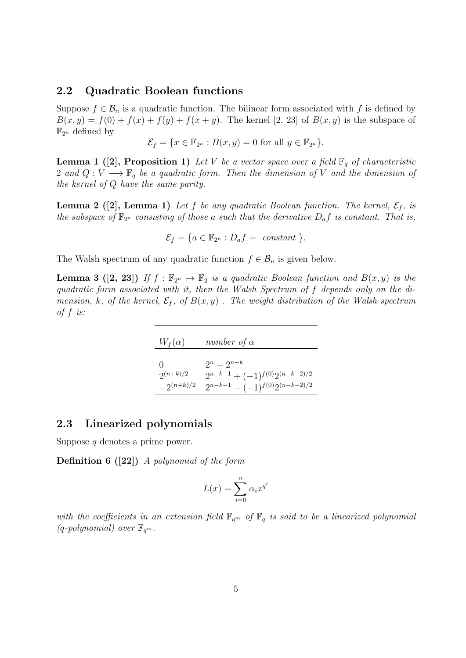#### 2.2 Quadratic Boolean functions

Suppose  $f \in \mathcal{B}_n$  is a quadratic function. The bilinear form associated with f is defined by  $B(x, y) = f(0) + f(x) + f(y) + f(x + y)$ . The kernel [2, 23] of  $B(x, y)$  is the subspace of  $\mathbb{F}_{2^n}$  defined by

$$
\mathcal{E}_f = \{ x \in \mathbb{F}_{2^n} : B(x, y) = 0 \text{ for all } y \in \mathbb{F}_{2^n} \}.
$$

**Lemma 1** ([2], Proposition 1) Let V be a vector space over a field  $\mathbb{F}_q$  of characteristic 2 and  $Q: V \longrightarrow \mathbb{F}_q$  be a quadratic form. Then the dimension of V and the dimension of the kernel of Q have the same parity.

**Lemma 2** ([2], Lemma 1) Let f be any quadratic Boolean function. The kernel,  $\mathcal{E}_f$ , is the subspace of  $\mathbb{F}_{2^n}$  consisting of those a such that the derivative  $D_a f$  is constant. That is,

$$
\mathcal{E}_f = \{a \in \mathbb{F}_{2^n} : D_a f = \text{ constant } \}.
$$

The Walsh spectrum of any quadratic function  $f \in \mathcal{B}_n$  is given below.

**Lemma 3** ([2, 23]) If  $f : \mathbb{F}_{2^n} \to \mathbb{F}_2$  is a quadratic Boolean function and  $B(x, y)$  is the quadratic form associated with it, then the Walsh Spectrum of f depends only on the dimension, k, of the kernel,  $\mathcal{E}_f$ , of  $B(x, y)$ . The weight distribution of the Walsh spectrum of  $f$  is:

| $W_f(\alpha)$  | number of $\alpha$                      |
|----------------|-----------------------------------------|
| $^{\circ}$     | $2^n - 2^{n-k}$                         |
| $2^{(n+k)/2}$  | $2^{n-k-1} + (-1)^{f(0)} 2^{(n-k-2)/2}$ |
| $-2^{(n+k)/2}$ | $2^{n-k-1} - (-1)^{f(0)} 2^{(n-k-2)/2}$ |

#### 2.3 Linearized polynomials

Suppose q denotes a prime power.

Definition 6 ([22]) A polynomial of the form

$$
L(x) = \sum_{i=0}^{n} \alpha_i x^{q^i}
$$

with the coefficients in an extension field  $\mathbb{F}_{q^m}$  of  $\mathbb{F}_q$  is said to be a linearized polynomial  $(q$ -polynomial) over  $\mathbb{F}_{q^m}$ .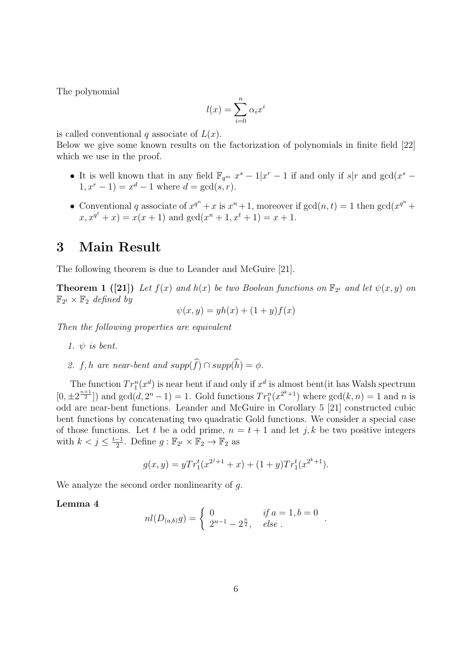The polynomial

$$
l(x) = \sum_{i=0}^{n} \alpha_i x^i
$$

is called conventional q associate of  $L(x)$ .

Below we give some known results on the factorization of polynomials in finite field [22] which we use in the proof.

- It is well known that in any field  $\mathbb{F}_{q^m}$   $x^s 1|x^r 1|$  if and only if  $s|r$  and  $gcd(x^s 1)|$  $1, x^r - 1$  =  $x^d - 1$  where  $d = \gcd(s, r)$ .
- Conventional q associate of  $x^{q^n} + x$  is  $x^n + 1$ , moreover if  $gcd(n, t) = 1$  then  $gcd(x^{q^n} +$  $x, x^{q^t} + x) = x(x+1)$  and  $gcd(x^n + 1, x^t + 1) = x + 1$ .

## 3 Main Result

The following theorem is due to Leander and McGuire [21].

**Theorem 1** ([21]) Let  $f(x)$  and  $h(x)$  be two Boolean functions on  $\mathbb{F}_{2^t}$  and let  $\psi(x, y)$  on  $\mathbb{F}_{2^t} \times \mathbb{F}_2$  defined by

$$
\psi(x, y) = yh(x) + (1+y)f(x)
$$

Then the following properties are equivalent

- 1.  $\psi$  is bent.
- 2. f, h are near-bent and supp(f)  $\cap$  supp(h) = φ.

The function  $Tr_1^n(x^d)$  is near bent if and only if  $x^d$  is almost bent (it has Walsh spectrum  $[0, \pm 2^{\frac{n+1}{2}}]$  and  $gcd(d, 2^n - 1) = 1$ . Gold functions  $Tr_1^n(x^{2^k+1})$  where  $gcd(k, n) = 1$  and n is odd are near-bent functions. Leander and McGuire in Corollary 5 [21] constructed cubic bent functions by concatenating two quadratic Gold functions. We consider a special case of those functions. Let t be a odd prime,  $n = t + 1$  and let j, k be two positive integers with  $k < j \leq \frac{t-1}{2}$  $\frac{-1}{2}$ . Define  $g : \mathbb{F}_{2^t} \times \mathbb{F}_2 \to \mathbb{F}_2$  as

$$
g(x,y) = yTr_1^t(x^{2^j+1} + x) + (1+y)Tr_1^t(x^{2^k+1}).
$$

We analyze the second order nonlinearity of q.

#### Lemma 4

$$
nl(D_{(a,b)}g) = \begin{cases} 0 & \text{if } a = 1, b = 0\\ 2^{n-1} - 2^{\frac{n}{2}}, & \text{else } \end{cases}
$$

.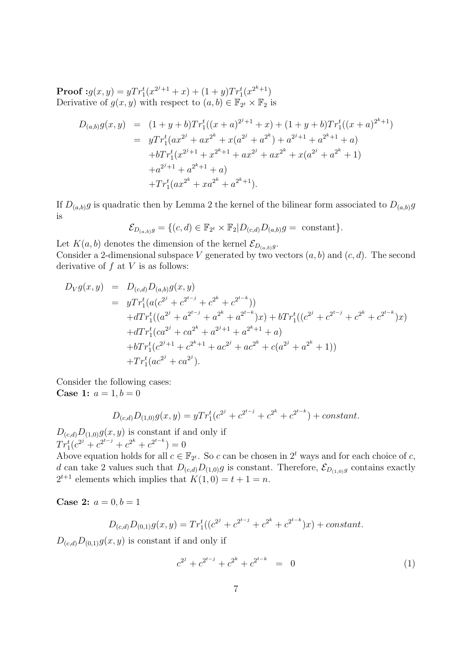**Proof** :  $g(x, y) = yTr_1^t(x^{2^j+1} + x) + (1+y)Tr_1^t(x^{2^k+1})$ Derivative of  $g(x, y)$  with respect to  $(a, b) \in \mathbb{F}_{2^t} \times \mathbb{F}_2$  is

$$
D_{(a,b)}g(x,y) = (1+y+b)Tr_1^t((x+a)^{2^j+1}+x) + (1+y+b)Tr_1^t((x+a)^{2^k+1})
$$
  
\n
$$
= yTr_1^t(ax^{2^j}+ax^{2^k}+x(a^{2^j}+a^{2^k})+a^{2^j+1}+a^{2^k+1}+a)
$$
  
\n
$$
+bTr_1^t(x^{2^j+1}+x^{2^k+1}+ax^{2^j}+ax^{2^k}+x(a^{2^j}+a^{2^k}+1)
$$
  
\n
$$
+a^{2^j+1}+a^{2^k+1}+a)
$$
  
\n
$$
+Tr_1^t(ax^{2^k}+xa^{2^k}+a^{2^k+1}).
$$

If  $D_{(a,b)}g$  is quadratic then by Lemma 2 the kernel of the bilinear form associated to  $D_{(a,b)}g$ is

$$
\mathcal{E}_{D_{(a,b)}g} = \{ (c,d) \in \mathbb{F}_{2^t} \times \mathbb{F}_2 | D_{(c,d)} D_{(a,b)} g = \text{ constant} \}.
$$

Let  $K(a, b)$  denotes the dimension of the kernel  $\mathcal{E}_{D_{(a,b)}g}$ . Consider a 2-dimensional subspace V generated by two vectors  $(a, b)$  and  $(c, d)$ . The second derivative of  $f$  at  $V$  is as follows:

$$
D_V g(x, y) = D_{(c,d)} D_{(a,b)} g(x, y)
$$
  
\n
$$
= yTr_1^t (a(c^{2j} + c^{2^{t-j}} + c^{2^k} + c^{2^{t-k}}))
$$
  
\n
$$
+ dTr_1^t ((a^{2j} + a^{2^{t-j}} + a^{2^k} + a^{2^{t-k}})x) + bTr_1^t ((c^{2j} + c^{2^{t-j}} + c^{2^k} + c^{2^{t-k}})x)
$$
  
\n
$$
+ dTr_1^t (ca^{2j} + ca^{2^k} + a^{2^{j+1}} + a^{2^{k+1}} + a)
$$
  
\n
$$
+ bTr_1^t (c^{2j+1} + c^{2^k+1} + ac^{2j} + ac^{2^k} + c(a^{2j} + a^{2^k} + 1))
$$
  
\n
$$
+ Tr_1^t (ac^{2j} + ca^{2j}).
$$

Consider the following cases: **Case 1:**  $a = 1, b = 0$ 

$$
D_{(c,d)}D_{(1,0)}g(x,y) = yTr_1^t(c^{2^j} + c^{2^{t-j}} + c^{2^k} + c^{2^{t-k}}) + constant.
$$

 $D_{(c,d)}D_{(1,0)}g(x, y)$  is constant if and only if  $Tr_1^t(c^{2^j} + c^{2^{t-j}} + c^{2^k} + c^{2^{t-k}}) = 0$ 

Above equation holds for all  $c \in \mathbb{F}_{2^t}$ . So c can be chosen in  $2^t$  ways and for each choice of c, d can take 2 values such that  $D_{(c,d)}D_{(1,0)}g$  is constant. Therefore,  $\mathcal{E}_{D_{(1,0)}g}$  contains exactly  $2^{t+1}$  elements which implies that  $K(1,0) = t+1 = n$ .

**Case 2:**  $a = 0, b = 1$ 

$$
D_{(c,d)}D_{(0,1)}g(x,y) = Tr_1^t((c^{2^j} + c^{2^{t-j}} + c^{2^k} + c^{2^{t-k}})x) + constant.
$$

 $D_{(c,d)}D_{(0,1)}g(x, y)$  is constant if and only if

$$
c^{2^{j}} + c^{2^{t-j}} + c^{2^{k}} + c^{2^{t-k}} = 0
$$
 (1)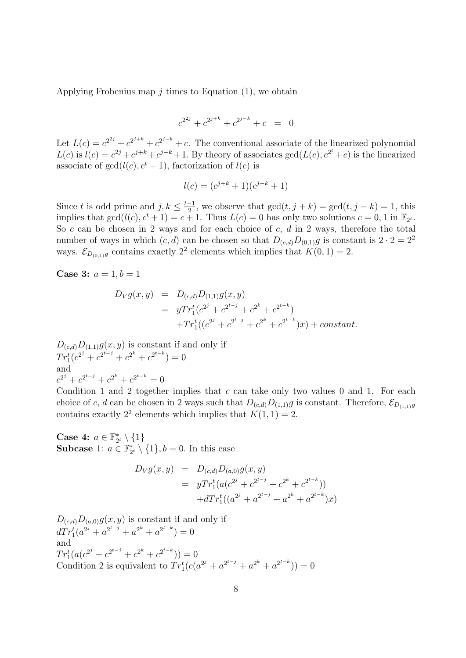Applying Frobenius map  $i$  times to Equation (1), we obtain

$$
c^{2^{2j}} + c^{2^{j+k}} + c^{2^{j-k}} + c = 0
$$

Let  $L(c) = c^{2^{2j}} + c^{2^{j+k}} + c^{2^{j-k}} + c$ . The conventional associate of the linearized polynomial  $L(c)$  is  $l(c) = c^{2j} + c^{j+k} + c^{j-k} + 1$ . By theory of associates  $gcd(L(c), c^{2^t} + c)$  is the linearized associate of  $gcd(l(c), c<sup>t</sup> + 1)$ , factorization of  $l(c)$  is

$$
l(c) = (c^{j+k} + 1)(c^{j-k} + 1)
$$

Since t is odd prime and  $j, k \leq \frac{t-1}{2}$  $\frac{-1}{2}$ , we observe that  $gcd(t, j + k) = gcd(t, j - k) = 1$ , this implies that  $gcd(l(c), c^t + 1) = c + 1$ . Thus  $L(c) = 0$  has only two solutions  $c = 0, 1$  in  $\mathbb{F}_{2^t}$ . So c can be chosen in 2 ways and for each choice of c,  $d$  in 2 ways, therefore the total number of ways in which  $(c, d)$  can be chosen so that  $D_{(c,d)}D_{(0,1)}g$  is constant is  $2 \cdot 2 = 2^2$ ways.  $\mathcal{E}_{D_{(0,1)}g}$  contains exactly  $2^2$  elements which implies that  $K(0, 1) = 2$ .

**Case 3:**  $a = 1, b = 1$ 

$$
D_V g(x, y) = D_{(c,d)} D_{(1,1)} g(x, y)
$$
  
= 
$$
y Tr_1^t (c^{2^j} + c^{2^{t-j}} + c^{2^k} + c^{2^{t-k}})
$$
  
+ 
$$
Tr_1^t ((c^{2^j} + c^{2^{t-j}} + c^{2^k} + c^{2^{t-k}})x) + constant.
$$

 $D_{(c,d)}D_{(1,1)}g(x, y)$  is constant if and only if  $Tr_1^t(c^{2^j} + c^{2^{t-j}} + c^{2^k} + c^{2^{t-k}}) = 0$ and  $c^{2^j} + c^{2^{t-j}} + c^{2^k} + c^{2^{t-k}} = 0$ 

Condition 1 and 2 together implies that  $c$  can take only two values 0 and 1. For each choice of c, d can be chosen in 2 ways such that  $D_{(c,d)}D_{(1,1)}g$  is constant. Therefore,  $\mathcal{E}_{D_{(1,1)}g}$ contains exactly 2<sup>2</sup> elements which implies that  $K(1, 1) = 2$ .

Case 4:  $a \in \mathbb{F}_{2^t}^* \setminus \{1\}$ **Subcase** 1:  $a \in \mathbb{F}_{2^t}^* \setminus \{1\}, b = 0$ . In this case

$$
D_V g(x, y) = D_{(c,d)} D_{(a,0)} g(x, y)
$$
  
= 
$$
y Tr_1^t (a(c^{2^j} + c^{2^{t-j}} + c^{2^k} + c^{2^{t-k}}))
$$
  
+
$$
dT r_1^t ((a^{2^j} + a^{2^{t-j}} + a^{2^k} + a^{2^{t-k}})x)
$$

 $D_{(c,d)}D_{(a,0)}g(x, y)$  is constant if and only if  $dTr_1^t(a^{2^j} + a^{2^{t-j}} + a^{2^k} + a^{2^{t-k}}) = 0$ and  $Tr_1^t(a(c^{2^j}+c^{2^{t-j}}+c^{2^k}+c^{2^{t-k}}))=0$  $T_{11}(a_1c + c + c + c)$  (*j* − 0<br>Condition 2 is equivalent to  $Tr_1^t(c(a^{2^j} + a^{2^{t-j}} + a^{2^k} + a^{2^{t-k}})) = 0$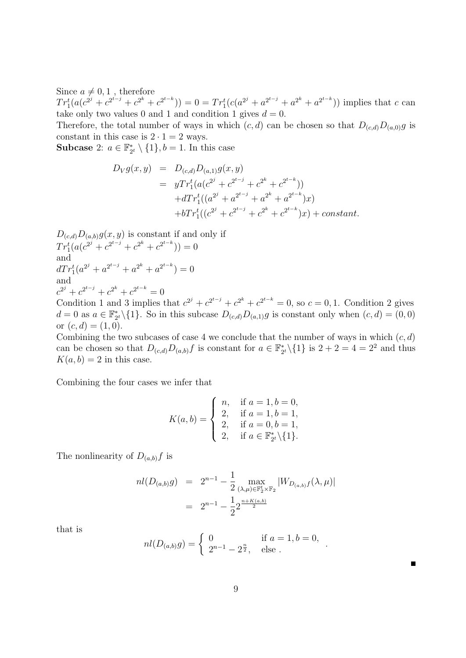Since  $a \neq 0, 1$ , therefore

 $Tr_1^t(a(c^{2^j}+c^{2^{t-j}}+c^{2^k}+c^{2^{t-k}})) = 0 = Tr_1^t(c(a^{2^j}+a^{2^{t-j}}+a^{2^k}+a^{2^{t-k}}))$  implies that c can take only two values 0 and 1 and condition 1 gives  $d = 0$ .

Therefore, the total number of ways in which  $(c, d)$  can be chosen so that  $D_{(c,d)}D_{(a,0)}g$  is constant in this case is  $2 \cdot 1 = 2$  ways.

**Subcase** 2:  $a \in \mathbb{F}_{2^t}^* \setminus \{1\}, b = 1$ . In this case

$$
D_V g(x, y) = D_{(c,d)} D_{(a,1)} g(x, y)
$$
  
= 
$$
y Tr_1^t (a(c^{2^j} + c^{2^{t-j}} + c^{2^k} + c^{2^{t-k}}))
$$
  
+ 
$$
dT r_1^t ((a^{2^j} + a^{2^{t-j}} + a^{2^k} + a^{2^{t-k}})x)
$$
  
+ 
$$
bTr_1^t ((c^{2^j} + c^{2^{t-j}} + c^{2^k} + c^{2^{t-k}})x) + constant.
$$

 $D_{(c,d)}D_{(a,b)}g(x, y)$  is constant if and only if  $Tr_1^t(a(c^{2^j}+c^{2^{t-j}}+c^{2^k}+c^{2^{t-k}}))=0$ and  $dTr_1^t(a^{2^j} + a^{2^{t-j}} + a^{2^k} + a^{2^{t-k}}) = 0$ and  $c^{2^{j}} + c^{2^{t-j}} + c^{2^{k}} + c^{2^{t-k}} = 0$ Condition 1 and 3 implies that  $c^{2^j} + c^{2^{t-j}} + c^{2^k} + c^{2^{t-k}} = 0$ , so  $c = 0, 1$ . Condition 2 gives

 $d = 0$  as  $a \in \mathbb{F}_{2^t}^* \setminus \{1\}$ . So in this subcase  $D_{(c,d)}D_{(a,1)}g$  is constant only when  $(c, d) = (0, 0)$ or  $(c, d) = (1, 0)$ .

Combining the two subcases of case 4 we conclude that the number of ways in which  $(c, d)$ can be chosen so that  $D_{(c,d)}D_{(a,b)}f$  is constant for  $a \in \mathbb{F}_{2^t}^* \setminus \{1\}$  is  $2 + 2 = 4 = 2^2$  and thus  $K(a, b) = 2$  in this case.

Combining the four cases we infer that

$$
K(a,b) = \begin{cases} n, & \text{if } a = 1, b = 0, \\ 2, & \text{if } a = 1, b = 1, \\ 2, & \text{if } a = 0, b = 1, \\ 2, & \text{if } a \in \mathbb{F}_{2^k}^* \backslash \{1\}. \end{cases}
$$

The nonlinearity of  $D_{(a,b)}f$  is

$$
nl(D_{(a,b)}g) = 2^{n-1} - \frac{1}{2} \max_{(\lambda,\mu) \in \mathbb{F}_2^t \times \mathbb{F}_2} |W_{D_{(a,b)}f}(\lambda,\mu)|
$$
  
= 
$$
2^{n-1} - \frac{1}{2} 2^{\frac{n+K(a,b)}{2}}
$$

that is

$$
nl(D_{(a,b)}g) = \begin{cases} 0 & \text{if } a = 1, b = 0, \\ 2^{n-1} - 2^{\frac{n}{2}}, & \text{else } \end{cases}
$$

.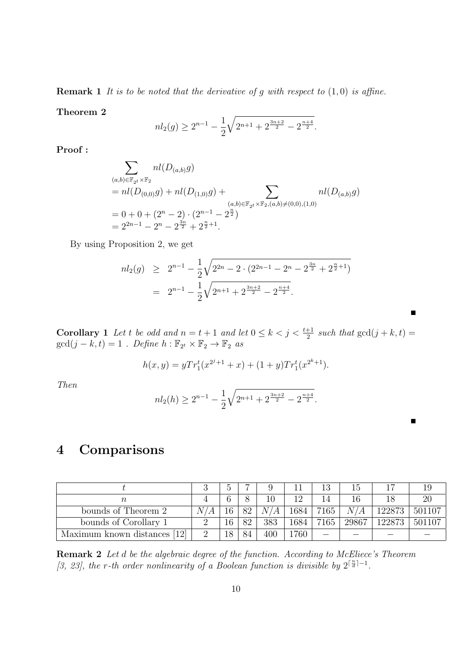**Remark 1** It is to be noted that the derivative of g with respect to  $(1,0)$  is affine.

Theorem 2

$$
nl_2(g) \ge 2^{n-1} - \frac{1}{2}\sqrt{2^{n+1} + 2^{\frac{3n+2}{2}} - 2^{\frac{n+4}{2}}}.
$$

Proof :

$$
\sum_{(a,b)\in\mathbb{F}_{2^t}\times\mathbb{F}_2} n l(D_{(a,b)}g)
$$
\n
$$
= n l(D_{(0,0)}g) + n l(D_{(1,0)}g) + \sum_{(a,b)\in\mathbb{F}_{2^t}\times\mathbb{F}_2, (a,b)\neq(0,0),(1,0)} n l(D_{(a,b)}g)
$$
\n
$$
= 0 + 0 + (2^n - 2) \cdot (2^{n-1} - 2^{\frac{n}{2}})
$$
\n
$$
= 2^{2n-1} - 2^n - 2^{\frac{3n}{2}} + 2^{\frac{n}{2}+1}.
$$

By using Proposition 2, we get

$$
nl_2(g) \geq 2^{n-1} - \frac{1}{2}\sqrt{2^{2n} - 2 \cdot (2^{2n-1} - 2^n - 2^{\frac{3n}{2}} + 2^{\frac{n}{2}+1})}
$$
  
= 
$$
2^{n-1} - \frac{1}{2}\sqrt{2^{n+1} + 2^{\frac{3n+2}{2}} - 2^{\frac{n+4}{2}}}.
$$

**Corollary** 1 Let t be odd and  $n = t + 1$  and let  $0 \le k < j < \frac{t+1}{2}$  such that  $gcd(j+k, t) =$  $gcd(j - k, t) = 1$ . Define  $h : \mathbb{F}_{2^t} \times \mathbb{F}_2 \to \mathbb{F}_2$  as

$$
h(x,y) = yTr_1^t(x^{2^j+1} + x) + (1+y)Tr_1^t(x^{2^k+1}).
$$

Then

$$
nl_2(h) \ge 2^{n-1} - \frac{1}{2}\sqrt{2^{n+1} + 2^{\frac{3n+2}{2}} - 2^{\frac{n+4}{2}}}.
$$

 $\blacksquare$ 

# 4 Comparisons

|                                 |     |    |    |        |      |      | Гp    |        |        |
|---------------------------------|-----|----|----|--------|------|------|-------|--------|--------|
|                                 |     |    |    |        | 1 ດ  |      | 16    |        | 20     |
| bounds of Theorem 2             | NZ. |    | 82 | N<br>А | 1684 | 7165 |       | 122873 | 501107 |
| bounds of Corollary 1           |     | 16 | 82 | 383    | 1684 | 7165 | 29867 | 122873 | 501107 |
| [12]<br>Maximum known distances |     | 18 | 84 | 400    | 1760 |      |       |        |        |

Remark 2 Let d be the algebraic degree of the function. According to McEliece's Theorem [3, 23], the r-th order nonlinearity of a Boolean function is divisible by  $2^{\lceil \frac{n}{d} \rceil - 1}$ .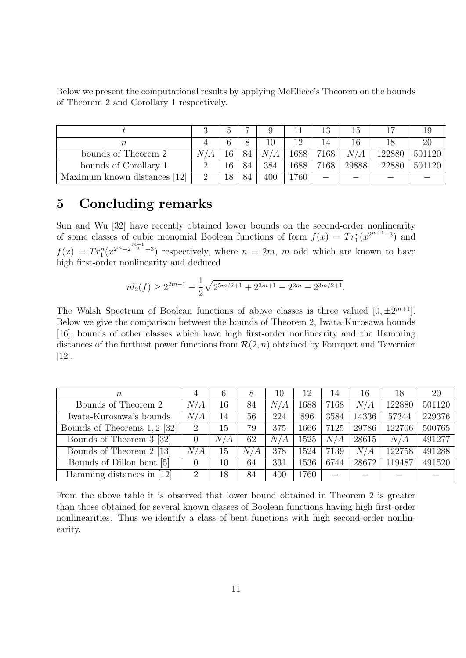Below we present the computational results by applying McEliece's Theorem on the bounds of Theorem 2 and Corollary 1 respectively.

|                                 |          |   |    |                  |      | 13   | 15    |        | 19     |
|---------------------------------|----------|---|----|------------------|------|------|-------|--------|--------|
|                                 |          |   |    | $\left( \right)$ |      | 14   | 16    |        | 20     |
| bounds of Theorem 2             |          | 6 | 84 | $\overline{N}$   | 1688 | 7168 | N/A   | 122880 | 501120 |
| bounds of Corollary 1           |          | 6 |    | 384              | 1688 | 7168 | 29888 | 122880 | 501120 |
| [12]<br>Maximum known distances | $\Omega$ |   | 84 | 400              | 760  |      |       |        |        |

# 5 Concluding remarks

Sun and Wu [32] have recently obtained lower bounds on the second-order nonlinearity of some classes of cubic monomial Boolean functions of form  $f(x) = Tr_1^n(x^{2^{m+1}+3})$  and  $f(x) = Tr_1^n(x^{2^m+2^{\frac{m+1}{2}+3}})$  respectively, where  $n = 2m$ , m odd which are known to have high first-order nonlinearity and deduced

$$
nl_2(f) \ge 2^{2m-1} - \frac{1}{2}\sqrt{2^{5m/2+1} + 2^{3m+1} - 2^{2m} - 2^{3m/2+1}}.
$$

The Walsh Spectrum of Boolean functions of above classes is three valued  $[0, \pm 2^{m+1}]$ . Below we give the comparison between the bounds of Theorem 2, Iwata-Kurosawa bounds [16], bounds of other classes which have high first-order nonlinearity and the Hamming distances of the furthest power functions from  $\mathcal{R}(2, n)$  obtained by Fourquet and Tavernier [12].

| $\, n$                       | 4              | 6   |     | 10  | 12   | 14   | 16    | 18     | 20     |
|------------------------------|----------------|-----|-----|-----|------|------|-------|--------|--------|
| Bounds of Theorem 2          | N/A            | 16  | 84  | N/A | 1688 | 7168 | N/A   | 122880 | 501120 |
| Iwata-Kurosawa's bounds      | N/A            | 14  | 56  | 224 | 896  | 3584 | 14336 | 57344  | 229376 |
| Bounds of Theorems 1, 2 [32] | $\overline{2}$ | 15  | 79  | 375 | 1666 | 7125 | 29786 | 122706 | 500765 |
| Bounds of Theorem 3 [32]     | 0              | N/A | 62  | N/A | 1525 | N/A  | 28615 | N/A    | 491277 |
| Bounds of Theorem 2 [13]     | N/A            | 15  | N/A | 378 | 1524 | 7139 | N/A   | 122758 | 491288 |
| Bounds of Dillon bent [5]    | $\theta$       | 10  | 64  | 331 | 1536 | 6744 | 28672 | 119487 | 491520 |
| Hamming distances in [12]    | $\overline{2}$ | 18  | 84  | 400 | 1760 |      |       |        |        |

From the above table it is observed that lower bound obtained in Theorem 2 is greater than those obtained for several known classes of Boolean functions having high first-order nonlinearities. Thus we identify a class of bent functions with high second-order nonlinearity.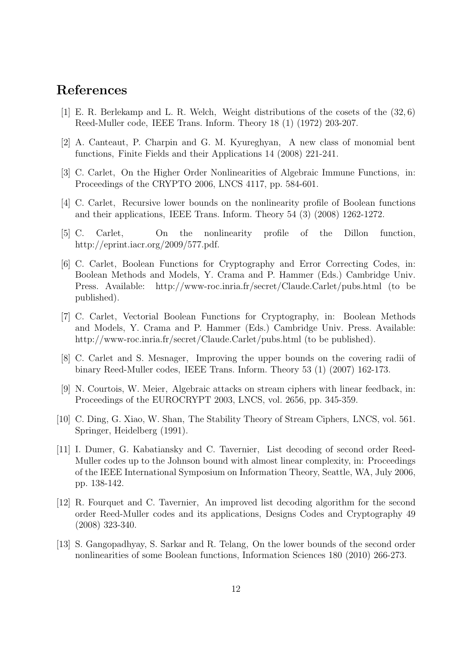### References

- [1] E. R. Berlekamp and L. R. Welch, Weight distributions of the cosets of the (32, 6) Reed-Muller code, IEEE Trans. Inform. Theory 18 (1) (1972) 203-207.
- [2] A. Canteaut, P. Charpin and G. M. Kyureghyan, A new class of monomial bent functions, Finite Fields and their Applications 14 (2008) 221-241.
- [3] C. Carlet, On the Higher Order Nonlinearities of Algebraic Immune Functions, in: Proceedings of the CRYPTO 2006, LNCS 4117, pp. 584-601.
- [4] C. Carlet, Recursive lower bounds on the nonlinearity profile of Boolean functions and their applications, IEEE Trans. Inform. Theory 54 (3) (2008) 1262-1272.
- [5] C. Carlet, On the nonlinearity profile of the Dillon function, http://eprint.iacr.org/2009/577.pdf.
- [6] C. Carlet, Boolean Functions for Cryptography and Error Correcting Codes, in: Boolean Methods and Models, Y. Crama and P. Hammer (Eds.) Cambridge Univ. Press. Available: http://www-roc.inria.fr/secret/Claude.Carlet/pubs.html (to be published).
- [7] C. Carlet, Vectorial Boolean Functions for Cryptography, in: Boolean Methods and Models, Y. Crama and P. Hammer (Eds.) Cambridge Univ. Press. Available: http://www-roc.inria.fr/secret/Claude.Carlet/pubs.html (to be published).
- [8] C. Carlet and S. Mesnager, Improving the upper bounds on the covering radii of binary Reed-Muller codes, IEEE Trans. Inform. Theory 53 (1) (2007) 162-173.
- [9] N. Courtois, W. Meier, Algebraic attacks on stream ciphers with linear feedback, in: Proceedings of the EUROCRYPT 2003, LNCS, vol. 2656, pp. 345-359.
- [10] C. Ding, G. Xiao, W. Shan, The Stability Theory of Stream Ciphers, LNCS, vol. 561. Springer, Heidelberg (1991).
- [11] I. Dumer, G. Kabatiansky and C. Tavernier, List decoding of second order Reed-Muller codes up to the Johnson bound with almost linear complexity, in: Proceedings of the IEEE International Symposium on Information Theory, Seattle, WA, July 2006, pp. 138-142.
- [12] R. Fourquet and C. Tavernier, An improved list decoding algorithm for the second order Reed-Muller codes and its applications, Designs Codes and Cryptography 49 (2008) 323-340.
- [13] S. Gangopadhyay, S. Sarkar and R. Telang, On the lower bounds of the second order nonlinearities of some Boolean functions, Information Sciences 180 (2010) 266-273.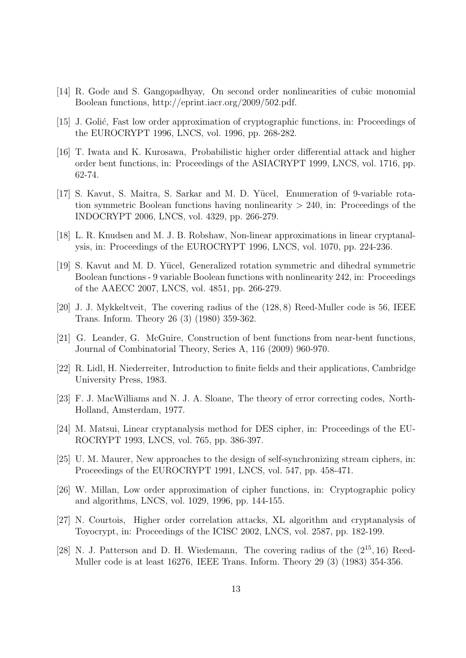- [14] R. Gode and S. Gangopadhyay, On second order nonlinearities of cubic monomial Boolean functions, http://eprint.iacr.org/2009/502.pdf.
- [15] J. Golić, Fast low order approximation of cryptographic functions, in: Proceedings of the EUROCRYPT 1996, LNCS, vol. 1996, pp. 268-282.
- [16] T. Iwata and K. Kurosawa, Probabilistic higher order differential attack and higher order bent functions, in: Proceedings of the ASIACRYPT 1999, LNCS, vol. 1716, pp. 62-74.
- [17] S. Kavut, S. Maitra, S. Sarkar and M. D. Yücel, Enumeration of 9-variable rotation symmetric Boolean functions having nonlinearity  $> 240$ , in: Proceedings of the INDOCRYPT 2006, LNCS, vol. 4329, pp. 266-279.
- [18] L. R. Knudsen and M. J. B. Robshaw, Non-linear approximations in linear cryptanalysis, in: Proceedings of the EUROCRYPT 1996, LNCS, vol. 1070, pp. 224-236.
- [19] S. Kavut and M. D. Yücel, Generalized rotation symmetric and dihedral symmetric Boolean functions - 9 variable Boolean functions with nonlinearity 242, in: Proceedings of the AAECC 2007, LNCS, vol. 4851, pp. 266-279.
- [20] J. J. Mykkeltveit, The covering radius of the (128, 8) Reed-Muller code is 56, IEEE Trans. Inform. Theory 26 (3) (1980) 359-362.
- [21] G. Leander, G. McGuire, Construction of bent functions from near-bent functions, Journal of Combinatorial Theory, Series A, 116 (2009) 960-970.
- [22] R. Lidl, H. Niederreiter, Introduction to finite fields and their applications, Cambridge University Press, 1983.
- [23] F. J. MacWilliams and N. J. A. Sloane, The theory of error correcting codes, North-Holland, Amsterdam, 1977.
- [24] M. Matsui, Linear cryptanalysis method for DES cipher, in: Proceedings of the EU-ROCRYPT 1993, LNCS, vol. 765, pp. 386-397.
- [25] U. M. Maurer, New approaches to the design of self-synchronizing stream ciphers, in: Proceedings of the EUROCRYPT 1991, LNCS, vol. 547, pp. 458-471.
- [26] W. Millan, Low order approximation of cipher functions, in: Cryptographic policy and algorithms, LNCS, vol. 1029, 1996, pp. 144-155.
- [27] N. Courtois, Higher order correlation attacks, XL algorithm and cryptanalysis of Toyocrypt, in: Proceedings of the ICISC 2002, LNCS, vol. 2587, pp. 182-199.
- [28] N. J. Patterson and D. H. Wiedemann, The covering radius of the  $(2^{15}, 16)$  Reed-Muller code is at least 16276, IEEE Trans. Inform. Theory 29 (3) (1983) 354-356.